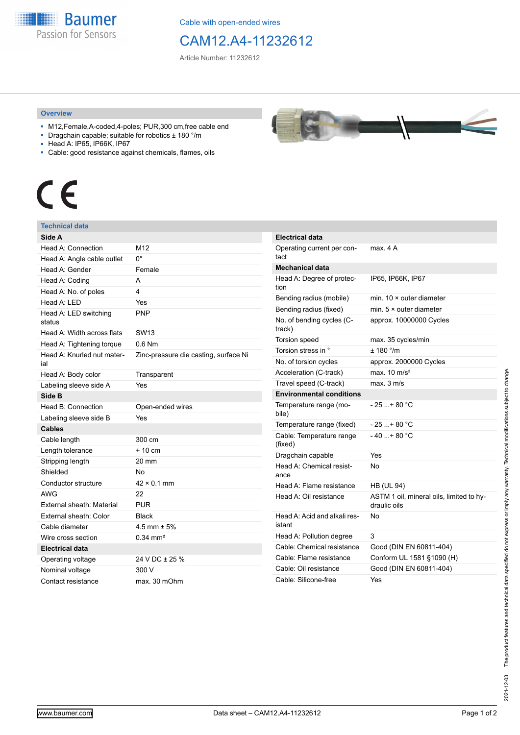**Baumer** Passion for Sensors

Cable with open-ended wires

## CAM12.A4-11232612

Article Number: 11232612

## **Overview**

- M12,Female,A-coded,4-poles; PUR,300 cm,free cable end
- Dragchain capable; suitable for robotics ± 180 °/m
- Head A: IP65, IP66K, IP67
- Cable: good resistance against chemicals, flames, oils



## **Technical data**

| Side A                            |                                       |
|-----------------------------------|---------------------------------------|
| Head A: Connection                | M12                                   |
| Head A: Angle cable outlet        | $0^{\circ}$                           |
| Head A: Gender                    | Female                                |
| Head A: Coding                    | А                                     |
| Head A: No. of poles              | 4                                     |
| Head A: LED                       | Yes                                   |
| Head A: LED switching<br>status   | <b>PNP</b>                            |
| Head A: Width across flats        | <b>SW13</b>                           |
| Head A: Tightening torque         | $0.6$ Nm                              |
| Head A: Knurled nut mater-<br>ial | Zinc-pressure die casting, surface Ni |
| Head A: Body color                | Transparent                           |
| Labeling sleeve side A            | Yes                                   |
| Side B                            |                                       |
| Head B: Connection                | Open-ended wires                      |
| Labeling sleeve side B            | Yes                                   |
| <b>Cables</b>                     |                                       |
| Cable length                      | 300 cm                                |
| Length tolerance                  | $+10$ cm                              |
| Stripping length                  | 20 mm                                 |
| Shielded                          | No                                    |
| Conductor structure               | $42 \times 0.1$ mm                    |
| <b>AWG</b>                        | 22                                    |
| External sheath: Material         | <b>PUR</b>                            |
| External sheath: Color            | Black                                 |
| Cable diameter                    | 4.5 mm $\pm$ 5%                       |
| Wire cross section                | $0.34$ mm <sup>2</sup>                |
| <b>Electrical data</b>            |                                       |
| Operating voltage                 | 24 V DC ± 25 %                        |
| Nominal voltage                   | 300 V                                 |
| Contact resistance                | max. 30 mOhm                          |



| Electrical data                        |                                                          |
|----------------------------------------|----------------------------------------------------------|
| Operating current per con-<br>tact     | max 4 A                                                  |
| <b>Mechanical data</b>                 |                                                          |
| Head A: Degree of protec-<br>tion      | IP65, IP66K, IP67                                        |
| Bending radius (mobile)                | min. $10 \times$ outer diameter                          |
| Bending radius (fixed)                 | min. $5 \times$ outer diameter                           |
| No. of bending cycles (C-<br>track)    | approx. 10000000 Cycles                                  |
| Torsion speed                          | max. 35 cycles/min                                       |
| Torsion stress in °                    | ± 180 °/m                                                |
| No. of torsion cycles                  | approx. 2000000 Cycles                                   |
| Acceleration (C-track)                 | max. $10 \text{ m/s}^2$                                  |
| Travel speed (C-track)                 | max. 3 m/s                                               |
| <b>Environmental conditions</b>        |                                                          |
| Temperature range (mo-<br>bile)        | $-25$ + 80 °C                                            |
| Temperature range (fixed)              | $-25+80 °C$                                              |
| Cable: Temperature range<br>(fixed)    | $-40+80 °C$                                              |
| Dragchain capable                      | Yes                                                      |
| Head A: Chemical resist-<br>ance       | No                                                       |
| Head A: Flame resistance               | <b>HB (UL 94)</b>                                        |
| Head A: Oil resistance                 | ASTM 1 oil, mineral oils, limited to hy-<br>draulic oils |
| Head A: Acid and alkali res-<br>istant | No                                                       |
| Head A: Pollution degree               | 3                                                        |
| Cable: Chemical resistance             | Good (DIN EN 60811-404)                                  |
| Cable: Flame resistance                | Conform UL 1581 §1090 (H)                                |
| Cable: Oil resistance                  | Good (DIN EN 60811-404)                                  |
| Cable: Silicone-free                   | Yes                                                      |